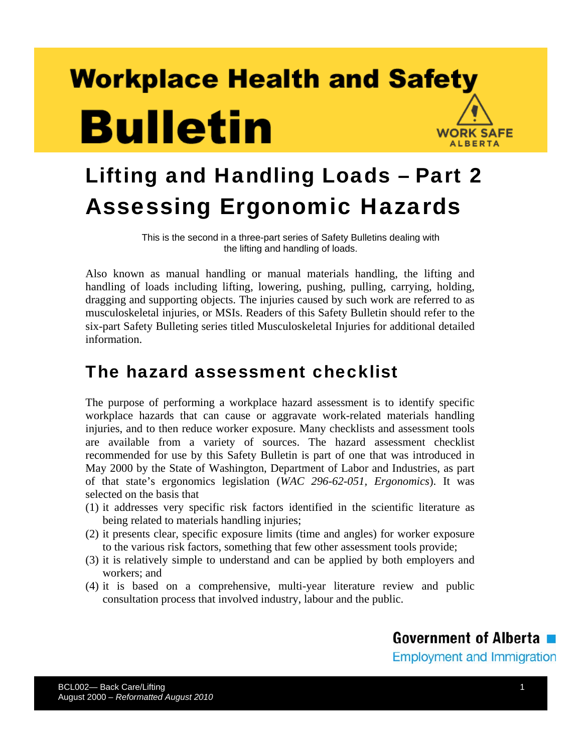# **Workplace Health and Safety Bulletin WORK SAFE ALBERTA**



This is the second in a three-part series of Safety Bulletins dealing with the lifting and handling of loads.

Also known as manual handling or manual materials handling, the lifting and handling of loads including lifting, lowering, pushing, pulling, carrying, holding, dragging and supporting objects. The injuries caused by such work are referred to as musculoskeletal injuries, or MSIs. Readers of this Safety Bulletin should refer to the six-part Safety Bulleting series titled Musculoskeletal Injuries for additional detailed information.

### The hazard assessment checklist

The purpose of performing a workplace hazard assessment is to identify specific workplace hazards that can cause or aggravate work-related materials handling injuries, and to then reduce worker exposure. Many checklists and assessment tools are available from a variety of sources. The hazard assessment checklist recommended for use by this Safety Bulletin is part of one that was introduced in May 2000 by the State of Washington, Department of Labor and Industries, as part of that state's ergonomics legislation (*WAC 296-62-051, Ergonomics*). It was selected on the basis that

- (1) it addresses very specific risk factors identified in the scientific literature as being related to materials handling injuries;
- (2) it presents clear, specific exposure limits (time and angles) for worker exposure to the various risk factors, something that few other assessment tools provide;
- (3) it is relatively simple to understand and can be applied by both employers and workers; and
- (4) it is based on a comprehensive, multi-year literature review and public consultation process that involved industry, labour and the public.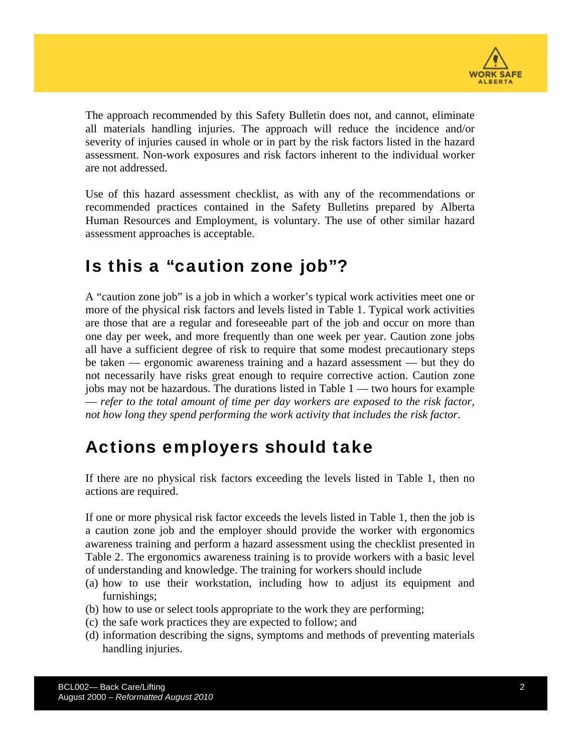

The approach recommended by this Safety Bulletin does not, and cannot, eliminate all materials handling injuries. The approach will reduce the incidence and/or severity of injuries caused in whole or in part by the risk factors listed in the hazard assessment. Non-work exposures and risk factors inherent to the individual worker are not addressed.

Use of this hazard assessment checklist, as with any of the recommendations or recommended practices contained in the Safety Bulletins prepared by Alberta Human Resources and Employment, is voluntary. The use of other similar hazard assessment approaches is acceptable.

#### Is this a "caution zone job"?

A "caution zone job" is a job in which a worker's typical work activities meet one or more of the physical risk factors and levels listed in Table 1. Typical work activities are those that are a regular and foreseeable part of the job and occur on more than one day per week, and more frequently than one week per year. Caution zone jobs all have a sufficient degree of risk to require that some modest precautionary steps be taken — ergonomic awareness training and a hazard assessment — but they do not necessarily have risks great enough to require corrective action. Caution zone jobs may not be hazardous. The durations listed in Table 1 — two hours for example — *refer to the total amount of time per day workers are exposed to the risk factor, not how long they spend performing the work activity that includes the risk factor*.

#### Actions employers should take

If there are no physical risk factors exceeding the levels listed in Table 1, then no actions are required.

If one or more physical risk factor exceeds the levels listed in Table 1, then the job is a caution zone job and the employer should provide the worker with ergonomics awareness training and perform a hazard assessment using the checklist presented in Table 2. The ergonomics awareness training is to provide workers with a basic level of understanding and knowledge. The training for workers should include

- (a) how to use their workstation, including how to adjust its equipment and furnishings;
- (b) how to use or select tools appropriate to the work they are performing;
- (c) the safe work practices they are expected to follow; and
- (d) information describing the signs, symptoms and methods of preventing materials handling injuries.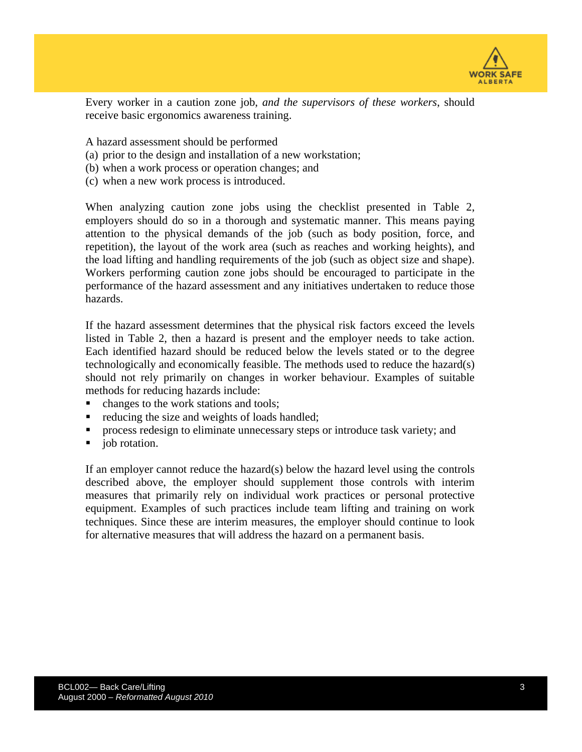

Every worker in a caution zone job, *and the supervisors of these workers*, should receive basic ergonomics awareness training.

A hazard assessment should be performed

- (a) prior to the design and installation of a new workstation;
- (b) when a work process or operation changes; and
- (c) when a new work process is introduced.

When analyzing caution zone jobs using the checklist presented in Table 2, employers should do so in a thorough and systematic manner. This means paying attention to the physical demands of the job (such as body position, force, and repetition), the layout of the work area (such as reaches and working heights), and the load lifting and handling requirements of the job (such as object size and shape). Workers performing caution zone jobs should be encouraged to participate in the performance of the hazard assessment and any initiatives undertaken to reduce those hazards.

If the hazard assessment determines that the physical risk factors exceed the levels listed in Table 2, then a hazard is present and the employer needs to take action. Each identified hazard should be reduced below the levels stated or to the degree technologically and economically feasible. The methods used to reduce the hazard(s) should not rely primarily on changes in worker behaviour. Examples of suitable methods for reducing hazards include:

- changes to the work stations and tools;
- reducing the size and weights of loads handled;
- process redesign to eliminate unnecessary steps or introduce task variety; and
- job rotation.

If an employer cannot reduce the hazard(s) below the hazard level using the controls described above, the employer should supplement those controls with interim measures that primarily rely on individual work practices or personal protective equipment. Examples of such practices include team lifting and training on work techniques. Since these are interim measures, the employer should continue to look for alternative measures that will address the hazard on a permanent basis.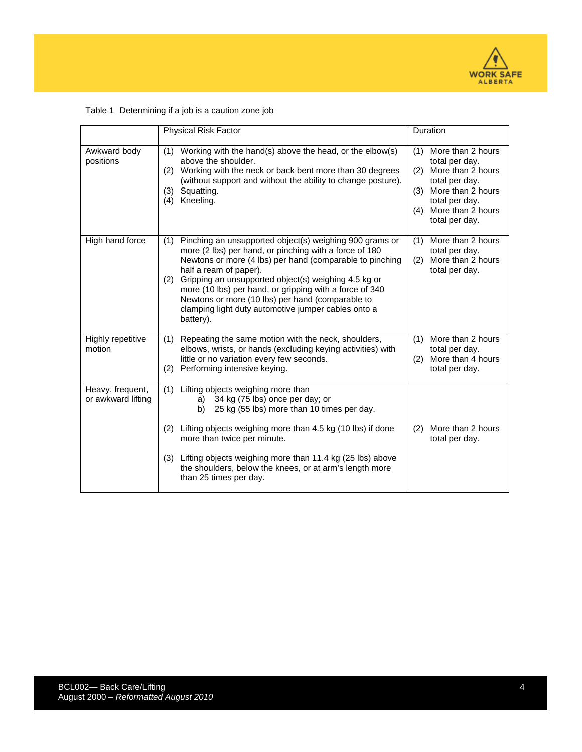

|                                        | <b>Physical Risk Factor</b>                                                                                                                                                                                                                                                                                                                                                                                                                                      | Duration                                                                                                                                                                             |  |  |  |  |
|----------------------------------------|------------------------------------------------------------------------------------------------------------------------------------------------------------------------------------------------------------------------------------------------------------------------------------------------------------------------------------------------------------------------------------------------------------------------------------------------------------------|--------------------------------------------------------------------------------------------------------------------------------------------------------------------------------------|--|--|--|--|
| Awkward body<br>positions              | Working with the hand(s) above the head, or the elbow(s)<br>(1)<br>above the shoulder.<br>Working with the neck or back bent more than 30 degrees<br>(2)<br>(without support and without the ability to change posture).<br>Squatting.<br>(3)<br>Kneeling.<br>(4)                                                                                                                                                                                                | More than 2 hours<br>(1)<br>total per day.<br>More than 2 hours<br>(2)<br>total per day.<br>More than 2 hours<br>(3)<br>total per day.<br>More than 2 hours<br>(4)<br>total per day. |  |  |  |  |
| High hand force                        | Pinching an unsupported object(s) weighing 900 grams or<br>(1)<br>more (2 lbs) per hand, or pinching with a force of 180<br>Newtons or more (4 lbs) per hand (comparable to pinching<br>half a ream of paper).<br>Gripping an unsupported object(s) weighing 4.5 kg or<br>(2)<br>more (10 lbs) per hand, or gripping with a force of 340<br>Newtons or more (10 lbs) per hand (comparable to<br>clamping light duty automotive jumper cables onto a<br>battery). | More than 2 hours<br>(1)<br>total per day.<br>More than 2 hours<br>(2)<br>total per day.                                                                                             |  |  |  |  |
| Highly repetitive<br>motion            | Repeating the same motion with the neck, shoulders,<br>(1)<br>elbows, wrists, or hands (excluding keying activities) with<br>little or no variation every few seconds.<br>Performing intensive keying.<br>(2)                                                                                                                                                                                                                                                    | More than 2 hours<br>(1)<br>total per day.<br>More than 4 hours<br>(2)<br>total per day.                                                                                             |  |  |  |  |
| Heavy, frequent,<br>or awkward lifting | Lifting objects weighing more than<br>(1)<br>a) 34 kg (75 lbs) once per day; or<br>25 kg (55 lbs) more than 10 times per day.<br>b) –                                                                                                                                                                                                                                                                                                                            |                                                                                                                                                                                      |  |  |  |  |
|                                        | Lifting objects weighing more than 4.5 kg (10 lbs) if done<br>(2)<br>more than twice per minute.                                                                                                                                                                                                                                                                                                                                                                 | More than 2 hours<br>(2)<br>total per day.                                                                                                                                           |  |  |  |  |
|                                        | Lifting objects weighing more than 11.4 kg (25 lbs) above<br>(3)<br>the shoulders, below the knees, or at arm's length more<br>than 25 times per day.                                                                                                                                                                                                                                                                                                            |                                                                                                                                                                                      |  |  |  |  |

#### Table 1 Determining if a job is a caution zone job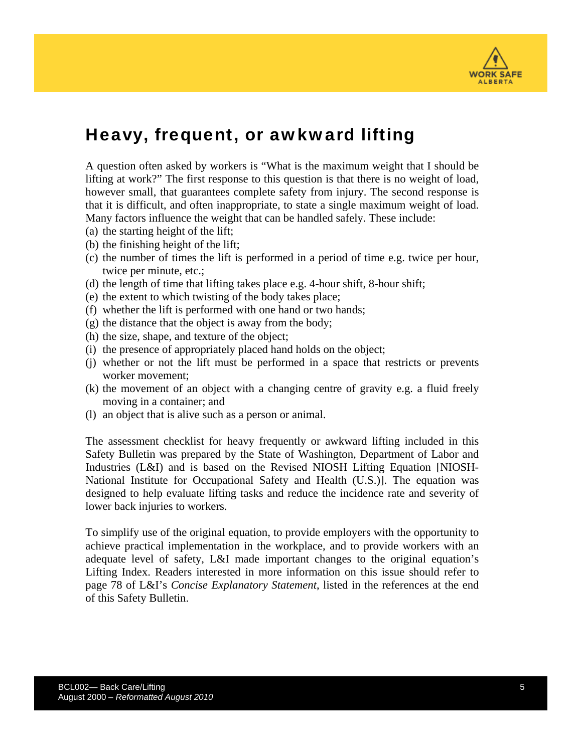

### Heavy, frequent, or awkward lifting

A question often asked by workers is "What is the maximum weight that I should be lifting at work?" The first response to this question is that there is no weight of load, however small, that guarantees complete safety from injury. The second response is that it is difficult, and often inappropriate, to state a single maximum weight of load. Many factors influence the weight that can be handled safely. These include:

- (a) the starting height of the lift;
- (b) the finishing height of the lift;
- (c) the number of times the lift is performed in a period of time e.g. twice per hour, twice per minute, etc.;
- (d) the length of time that lifting takes place e.g. 4-hour shift, 8-hour shift;
- (e) the extent to which twisting of the body takes place;
- (f) whether the lift is performed with one hand or two hands;
- (g) the distance that the object is away from the body;
- (h) the size, shape, and texture of the object;
- (i) the presence of appropriately placed hand holds on the object;
- (j) whether or not the lift must be performed in a space that restricts or prevents worker movement;
- (k) the movement of an object with a changing centre of gravity e.g. a fluid freely moving in a container; and
- (l) an object that is alive such as a person or animal.

The assessment checklist for heavy frequently or awkward lifting included in this Safety Bulletin was prepared by the State of Washington, Department of Labor and Industries (L&I) and is based on the Revised NIOSH Lifting Equation [NIOSH-National Institute for Occupational Safety and Health (U.S.)]. The equation was designed to help evaluate lifting tasks and reduce the incidence rate and severity of lower back injuries to workers.

To simplify use of the original equation, to provide employers with the opportunity to achieve practical implementation in the workplace, and to provide workers with an adequate level of safety, L&I made important changes to the original equation's Lifting Index. Readers interested in more information on this issue should refer to page 78 of L&I's *Concise Explanatory Statement*, listed in the references at the end of this Safety Bulletin.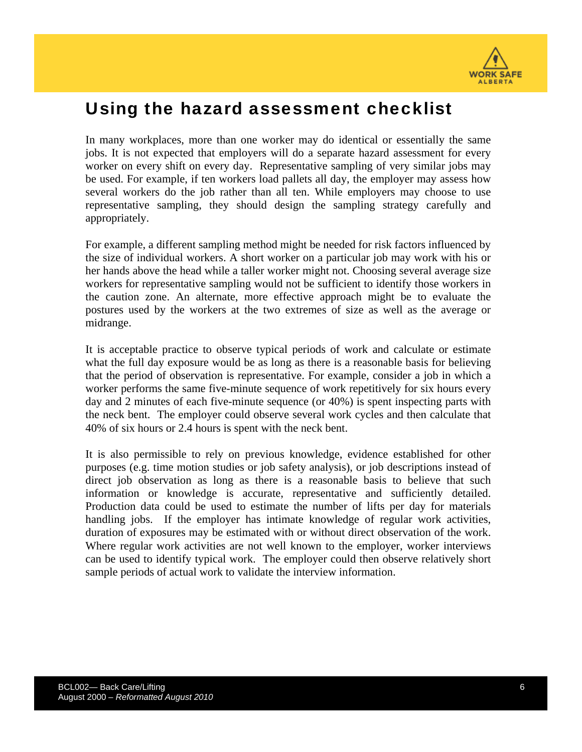

#### Using the hazard assessment checklist

In many workplaces, more than one worker may do identical or essentially the same jobs. It is not expected that employers will do a separate hazard assessment for every worker on every shift on every day. Representative sampling of very similar jobs may be used. For example, if ten workers load pallets all day, the employer may assess how several workers do the job rather than all ten. While employers may choose to use representative sampling, they should design the sampling strategy carefully and appropriately.

For example, a different sampling method might be needed for risk factors influenced by the size of individual workers. A short worker on a particular job may work with his or her hands above the head while a taller worker might not. Choosing several average size workers for representative sampling would not be sufficient to identify those workers in the caution zone. An alternate, more effective approach might be to evaluate the postures used by the workers at the two extremes of size as well as the average or midrange.

It is acceptable practice to observe typical periods of work and calculate or estimate what the full day exposure would be as long as there is a reasonable basis for believing that the period of observation is representative. For example, consider a job in which a worker performs the same five-minute sequence of work repetitively for six hours every day and 2 minutes of each five-minute sequence (or 40%) is spent inspecting parts with the neck bent. The employer could observe several work cycles and then calculate that 40% of six hours or 2.4 hours is spent with the neck bent.

It is also permissible to rely on previous knowledge, evidence established for other purposes (e.g. time motion studies or job safety analysis), or job descriptions instead of direct job observation as long as there is a reasonable basis to believe that such information or knowledge is accurate, representative and sufficiently detailed. Production data could be used to estimate the number of lifts per day for materials handling jobs. If the employer has intimate knowledge of regular work activities, duration of exposures may be estimated with or without direct observation of the work. Where regular work activities are not well known to the employer, worker interviews can be used to identify typical work. The employer could then observe relatively short sample periods of actual work to validate the interview information.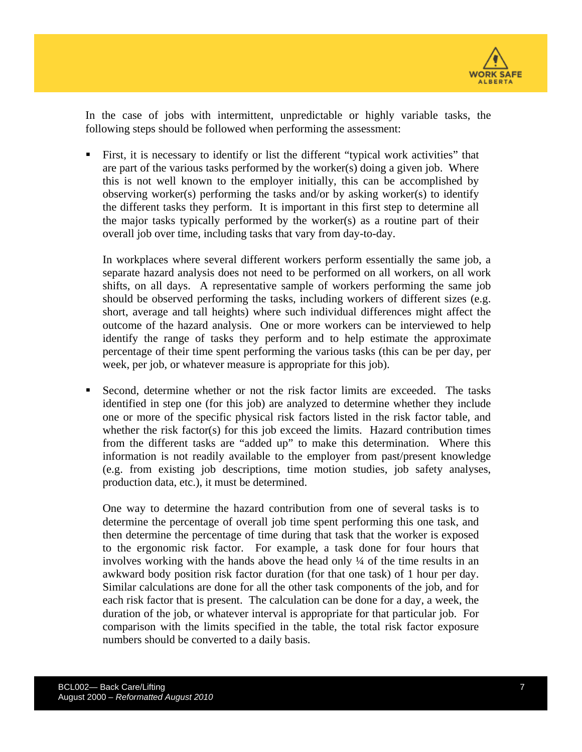

In the case of jobs with intermittent, unpredictable or highly variable tasks, the following steps should be followed when performing the assessment:

 First, it is necessary to identify or list the different "typical work activities" that are part of the various tasks performed by the worker(s) doing a given job. Where this is not well known to the employer initially, this can be accomplished by observing worker(s) performing the tasks and/or by asking worker(s) to identify the different tasks they perform. It is important in this first step to determine all the major tasks typically performed by the worker(s) as a routine part of their overall job over time, including tasks that vary from day-to-day.

In workplaces where several different workers perform essentially the same job, a separate hazard analysis does not need to be performed on all workers, on all work shifts, on all days. A representative sample of workers performing the same job should be observed performing the tasks, including workers of different sizes (e.g. short, average and tall heights) where such individual differences might affect the outcome of the hazard analysis. One or more workers can be interviewed to help identify the range of tasks they perform and to help estimate the approximate percentage of their time spent performing the various tasks (this can be per day, per week, per job, or whatever measure is appropriate for this job).

 Second, determine whether or not the risk factor limits are exceeded. The tasks identified in step one (for this job) are analyzed to determine whether they include one or more of the specific physical risk factors listed in the risk factor table, and whether the risk factor(s) for this job exceed the limits. Hazard contribution times from the different tasks are "added up" to make this determination. Where this information is not readily available to the employer from past/present knowledge (e.g. from existing job descriptions, time motion studies, job safety analyses, production data, etc.), it must be determined.

One way to determine the hazard contribution from one of several tasks is to determine the percentage of overall job time spent performing this one task, and then determine the percentage of time during that task that the worker is exposed to the ergonomic risk factor. For example, a task done for four hours that involves working with the hands above the head only ¼ of the time results in an awkward body position risk factor duration (for that one task) of 1 hour per day. Similar calculations are done for all the other task components of the job, and for each risk factor that is present. The calculation can be done for a day, a week, the duration of the job, or whatever interval is appropriate for that particular job. For comparison with the limits specified in the table, the total risk factor exposure numbers should be converted to a daily basis.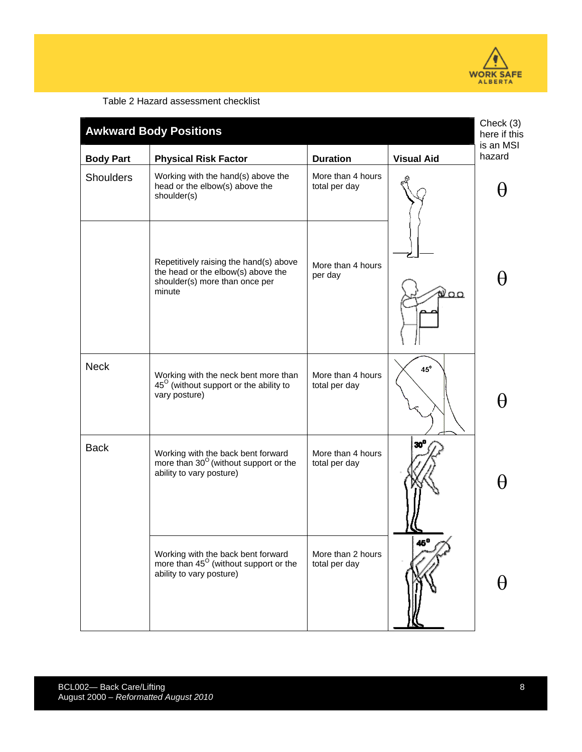

Table 2 Hazard assessment checklist

| <b>Awkward Body Positions</b> |                                                                                                                          |                                    |                   | Check (3)<br>here if this<br>is an MSI |
|-------------------------------|--------------------------------------------------------------------------------------------------------------------------|------------------------------------|-------------------|----------------------------------------|
| <b>Body Part</b>              | <b>Physical Risk Factor</b>                                                                                              | <b>Duration</b>                    | <b>Visual Aid</b> | hazard                                 |
| <b>Shoulders</b>              | Working with the hand(s) above the<br>head or the elbow(s) above the<br>shoulder(s)                                      | More than 4 hours<br>total per day |                   |                                        |
|                               | Repetitively raising the hand(s) above<br>the head or the elbow(s) above the<br>shoulder(s) more than once per<br>minute | More than 4 hours<br>per day       | ∛ററ               |                                        |
| <b>Neck</b>                   | Working with the neck bent more than<br>$45^{\circ}$ (without support or the ability to<br>vary posture)                 | More than 4 hours<br>total per day | $45^\circ$        |                                        |
| <b>Back</b>                   | Working with the back bent forward<br>more than $30^{\circ}$ (without support or the<br>ability to vary posture)         | More than 4 hours<br>total per day |                   |                                        |
|                               | Working with the back bent forward<br>more than 45 <sup>°</sup> (without support or the<br>ability to vary posture)      | More than 2 hours<br>total per day | az O              |                                        |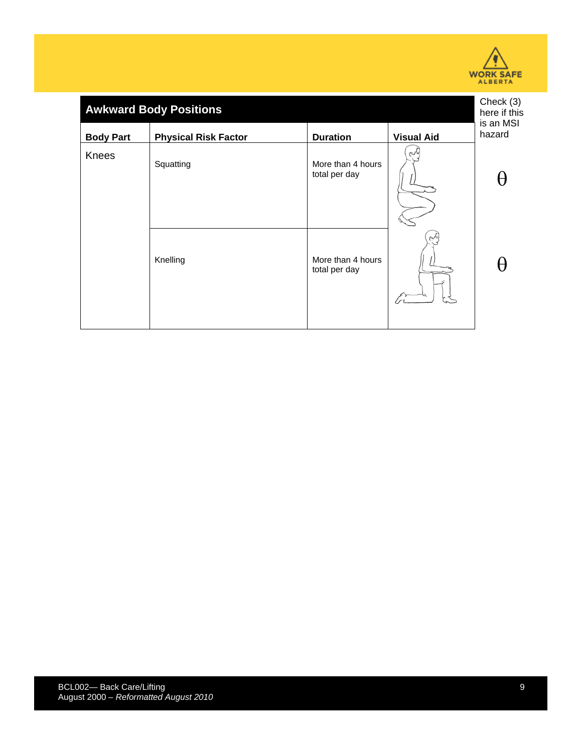

| <b>Awkward Body Positions</b> |                                    |                   |                     |
|-------------------------------|------------------------------------|-------------------|---------------------|
| <b>Physical Risk Factor</b>   | <b>Duration</b>                    | <b>Visual Aid</b> | is an MSI<br>hazard |
| Squatting                     | More than 4 hours<br>total per day | $\epsilon$        |                     |
| Knelling                      | More than 4 hours<br>total per day | n√≈               |                     |
|                               |                                    |                   |                     |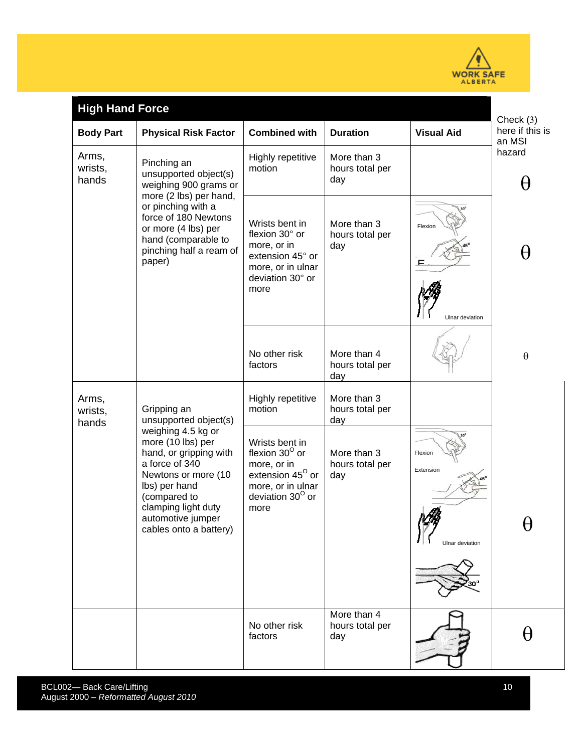

| <b>High Hand Force</b>    |                                                                                                                                                                                                                          |                                                                                                                                         |                                       | Check $(3)$                             |                           |
|---------------------------|--------------------------------------------------------------------------------------------------------------------------------------------------------------------------------------------------------------------------|-----------------------------------------------------------------------------------------------------------------------------------------|---------------------------------------|-----------------------------------------|---------------------------|
| <b>Body Part</b>          | <b>Physical Risk Factor</b>                                                                                                                                                                                              | <b>Combined with</b>                                                                                                                    | <b>Duration</b>                       | <b>Visual Aid</b>                       | here if this is<br>an MSI |
| Arms,<br>wrists,<br>hands | Pinching an<br>unsupported object(s)<br>weighing 900 grams or<br>more (2 lbs) per hand,<br>or pinching with a<br>force of 180 Newtons<br>or more (4 lbs) per<br>hand (comparable to<br>pinching half a ream of<br>paper) | Highly repetitive<br>motion                                                                                                             | More than 3<br>hours total per<br>day |                                         | hazard<br>H               |
|                           |                                                                                                                                                                                                                          | Wrists bent in<br>flexion 30° or<br>more, or in<br>extension 45° or<br>more, or in ulnar<br>deviation 30° or<br>more                    | More than 3<br>hours total per<br>day | Flexion<br>ᄐ<br>Ulnar deviation         | H                         |
|                           |                                                                                                                                                                                                                          | No other risk<br>factors                                                                                                                | More than 4<br>hours total per<br>day |                                         | $\theta$                  |
| Arms,<br>wrists,<br>hands | Gripping an<br>unsupported object(s)                                                                                                                                                                                     | Highly repetitive<br>motion                                                                                                             | More than 3<br>hours total per<br>day |                                         |                           |
|                           | weighing 4.5 kg or<br>more (10 lbs) per<br>hand, or gripping with<br>a force of 340<br>Newtons or more (10<br>Ibs) per hand<br>(compared to<br>clamping light duty<br>automotive jumper<br>cables onto a battery)        | Wrists bent in<br>flexion $30^\circ$ or<br>more, or in<br>extension 45 <sup>°</sup> or<br>more, or in ulnar<br>deviation 30° or<br>more | More than 3<br>hours total per<br>day | Flexion<br>Extension<br>Ulnar deviation | V                         |
|                           |                                                                                                                                                                                                                          | No other risk<br>factors                                                                                                                | More than 4<br>hours total per<br>day |                                         | H                         |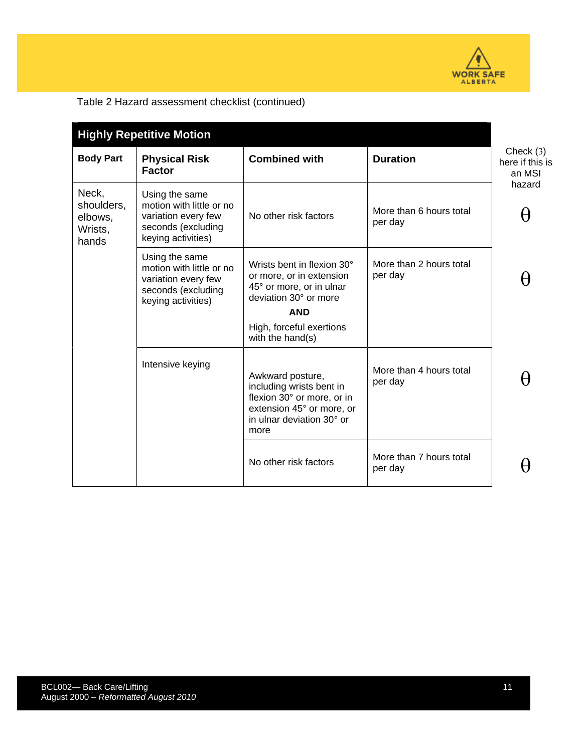

#### Table 2 Hazard assessment checklist (continued)

| <b>Highly Repetitive Motion</b>                    |                                                                                                               |                                                                                                                                              |                                    |                                          |
|----------------------------------------------------|---------------------------------------------------------------------------------------------------------------|----------------------------------------------------------------------------------------------------------------------------------------------|------------------------------------|------------------------------------------|
| <b>Body Part</b>                                   | <b>Physical Risk</b><br><b>Factor</b>                                                                         | <b>Combined with</b>                                                                                                                         | <b>Duration</b>                    | Check $(3)$<br>here if this is<br>an MSI |
| Neck,<br>shoulders,<br>elbows,<br>Wrists,<br>hands | Using the same<br>motion with little or no<br>variation every few<br>seconds (excluding<br>keying activities) | No other risk factors                                                                                                                        | More than 6 hours total<br>per day | hazard                                   |
|                                                    | Using the same<br>motion with little or no<br>variation every few<br>seconds (excluding<br>keying activities) | Wrists bent in flexion 30°<br>or more, or in extension<br>45° or more, or in ulnar<br>deviation 30° or more<br><b>AND</b>                    | More than 2 hours total<br>per day |                                          |
|                                                    |                                                                                                               | High, forceful exertions<br>with the hand(s)                                                                                                 |                                    |                                          |
|                                                    | Intensive keying                                                                                              | Awkward posture,<br>including wrists bent in<br>flexion 30° or more, or in<br>extension 45° or more, or<br>in ulnar deviation 30° or<br>more | More than 4 hours total<br>per day |                                          |
|                                                    |                                                                                                               | No other risk factors                                                                                                                        | More than 7 hours total<br>per day |                                          |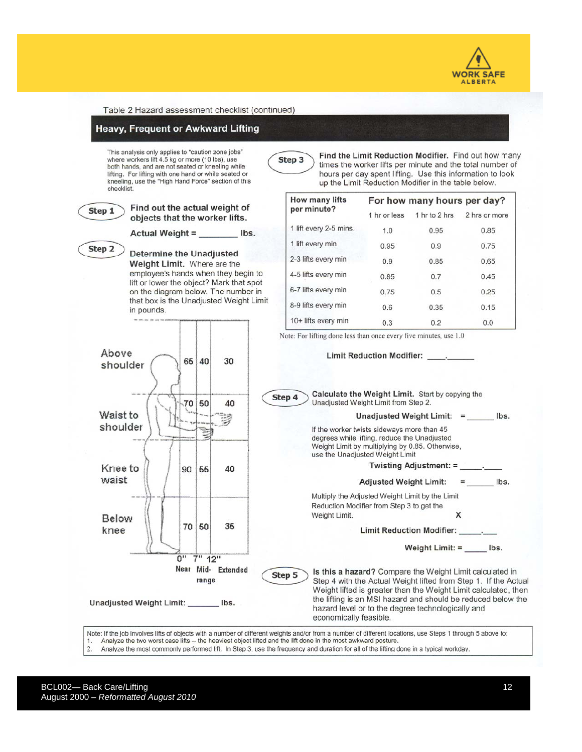



Note: If the job involves lifts of objects with a number of different weights and/or from a number of different locations, use Steps 1 through 5 above to: Analyze the two worst case lifts -- the heaviest object lifted and the lift done in the most awkward posture.  $\overline{2}$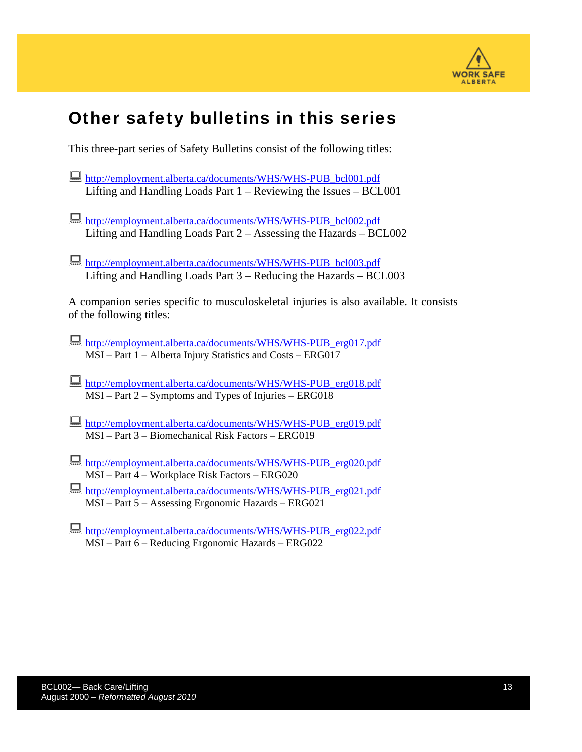

## Other safety bulletins in this series

This three-part series of Safety Bulletins consist of the following titles:

- [http://employment.alberta.ca/documents/WHS/WHS-PUB\\_bcl001.pdf](http://employment.alberta.ca/documents/WHS/WHS-PUB_bcl001.pdf) Lifting and Handling Loads Part 1 – Reviewing the Issues – BCL001
- [http://employment.alberta.ca/documents/WHS/WHS-PUB\\_bcl002.pdf](http://employment.alberta.ca/documents/WHS/WHS-PUB_bcl002.pdf) Lifting and Handling Loads Part 2 – Assessing the Hazards – BCL002
- [http://employment.alberta.ca/documents/WHS/WHS-PUB\\_bcl003.pdf](http://employment.alberta.ca/documents/WHS/WHS-PUB_bcl003.pdf) Lifting and Handling Loads Part 3 – Reducing the Hazards – BCL003

A companion series specific to musculoskeletal injuries is also available. It consists of the following titles:

- [http://employment.alberta.ca/documents/WHS/WHS-PUB\\_erg017.pdf](http://employment.alberta.ca/documents/WHS/WHS-PUB_erg017.pdf) MSI – Part 1 – Alberta Injury Statistics and Costs – ERG017
- [http://employment.alberta.ca/documents/WHS/WHS-PUB\\_erg018.pdf](http://employment.alberta.ca/documents/WHS/WHS-PUB_erg018.pdf) MSI – Part 2 – Symptoms and Types of Injuries – ERG018
- [http://employment.alberta.ca/documents/WHS/WHS-PUB\\_erg019.pdf](http://employment.alberta.ca/documents/WHS/WHS-PUB_erg019.pdf) MSI – Part 3 – Biomechanical Risk Factors – ERG019
- [http://employment.alberta.ca/documents/WHS/WHS-PUB\\_erg020.pdf](http://employment.alberta.ca/documents/WHS/WHS-PUB_erg020.pdf) MSI – Part 4 – Workplace Risk Factors – ERG020
- [http://employment.alberta.ca/documents/WHS/WHS-PUB\\_erg021.pdf](http://employment.alberta.ca/documents/WHS/WHS-PUB_erg021.pdf) MSI – Part 5 – Assessing Ergonomic Hazards – ERG021
- [http://employment.alberta.ca/documents/WHS/WHS-PUB\\_erg022.pdf](http://employment.alberta.ca/documents/WHS/WHS-PUB_erg022.pdf) MSI – Part 6 – Reducing Ergonomic Hazards – ERG022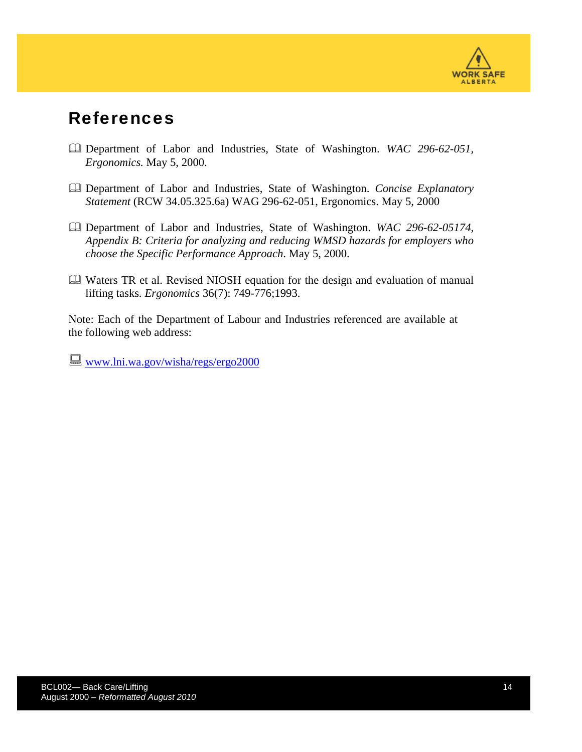

#### References

- Department of Labor and Industries, State of Washington. *WAC 296-62-051, Ergonomics.* May 5, 2000.
- Department of Labor and Industries, State of Washington. *Concise Explanatory Statement* (RCW 34.05.325.6a) WAG 296-62-051, Ergonomics. May 5, 2000
- Department of Labor and Industries, State of Washington. *WAC 296-62-05174, Appendix B: Criteria for analyzing and reducing WMSD hazards for employers who choose the Specific Performance Approach*. May 5, 2000.
- Waters TR et al. Revised NIOSH equation for the design and evaluation of manual lifting tasks*. Ergonomics* 36(7): 749-776;1993.

Note: Each of the Department of Labour and Industries referenced are available at the following web address:

**WWW.lni.wa.gov/wisha/regs/ergo2000**